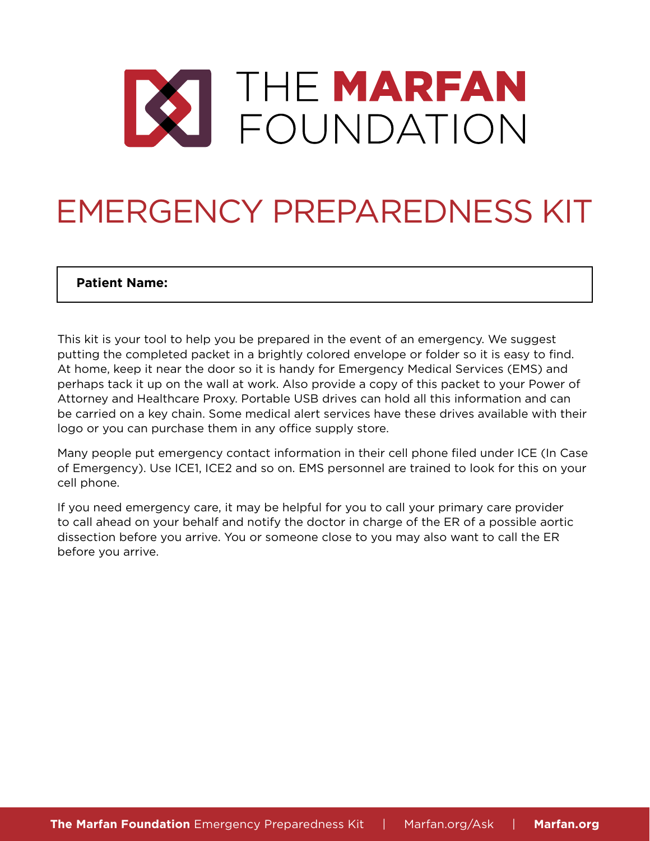

# EMERGENCY PREPAREDNESS KIT

### **Patient Name:**

This kit is your tool to help you be prepared in the event of an emergency. We suggest putting the completed packet in a brightly colored envelope or folder so it is easy to find. At home, keep it near the door so it is handy for Emergency Medical Services (EMS) and perhaps tack it up on the wall at work. Also provide a copy of this packet to your Power of Attorney and Healthcare Proxy. Portable USB drives can hold all this information and can be carried on a key chain. Some medical alert services have these drives available with their logo or you can purchase them in any office supply store.

Many people put emergency contact information in their cell phone filed under ICE (In Case of Emergency). Use ICE1, ICE2 and so on. EMS personnel are trained to look for this on your cell phone.

If you need emergency care, it may be helpful for you to call your primary care provider to call ahead on your behalf and notify the doctor in charge of the ER of a possible aortic dissection before you arrive. You or someone close to you may also want to call the ER before you arrive.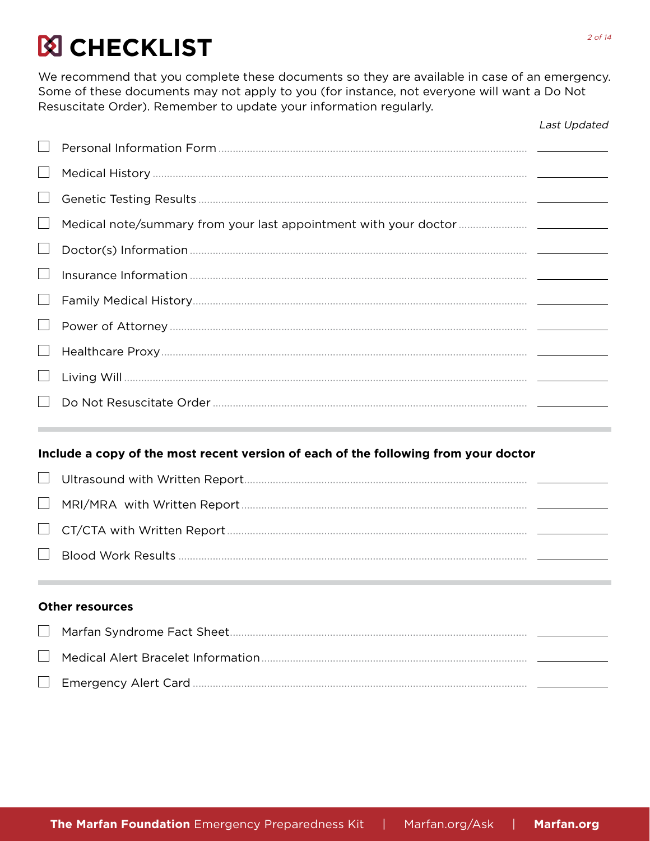## **Ø CHECKLIST**

We recommend that you complete these documents so they are available in case of an emergency. Some of these documents may not apply to you (for instance, not everyone will want a Do Not Resuscitate Order). Remember to update your information regularly.

|        |                                                                                                           | Last Updated |
|--------|-----------------------------------------------------------------------------------------------------------|--------------|
|        |                                                                                                           |              |
|        |                                                                                                           |              |
|        |                                                                                                           |              |
| $\Box$ |                                                                                                           |              |
|        |                                                                                                           |              |
|        |                                                                                                           |              |
| $\Box$ |                                                                                                           |              |
| $\Box$ |                                                                                                           |              |
| $\Box$ |                                                                                                           |              |
|        |                                                                                                           |              |
|        |                                                                                                           |              |
|        | Include a copy of the most recent version of each of the following from your doctor                       |              |
|        |                                                                                                           |              |
| $\Box$ |                                                                                                           |              |
|        |                                                                                                           |              |
|        |                                                                                                           |              |
|        | <b>Other resources</b>                                                                                    |              |
|        | $M$ $\alpha$ $\beta$ $\alpha$ $\beta$ $\alpha$ $\beta$ $\alpha$ $\alpha$ $\beta$ $\beta$ $\alpha$ $\beta$ |              |

| $\Box$ |  |
|--------|--|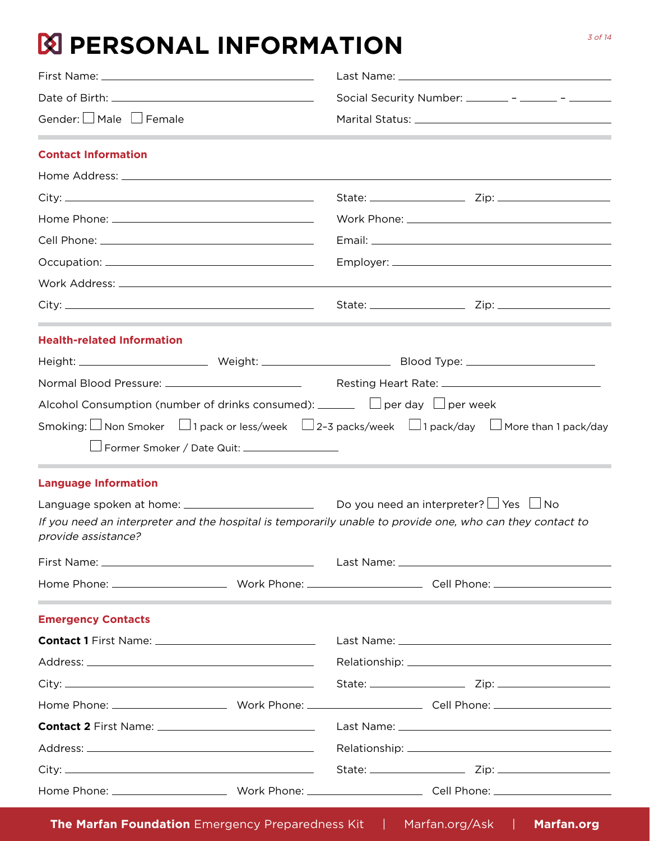## **N** PERSONAL INFORMATION

|                                   |  | Social Security Number: ________ - _______ - _______                            |                                                                                                           |  |
|-----------------------------------|--|---------------------------------------------------------------------------------|-----------------------------------------------------------------------------------------------------------|--|
| Gender: <u>U</u> Male U Female    |  |                                                                                 |                                                                                                           |  |
| <b>Contact Information</b>        |  |                                                                                 |                                                                                                           |  |
|                                   |  |                                                                                 |                                                                                                           |  |
|                                   |  |                                                                                 |                                                                                                           |  |
|                                   |  |                                                                                 |                                                                                                           |  |
|                                   |  |                                                                                 |                                                                                                           |  |
|                                   |  |                                                                                 |                                                                                                           |  |
|                                   |  |                                                                                 |                                                                                                           |  |
|                                   |  |                                                                                 |                                                                                                           |  |
| <b>Health-related Information</b> |  |                                                                                 |                                                                                                           |  |
|                                   |  |                                                                                 |                                                                                                           |  |
|                                   |  |                                                                                 |                                                                                                           |  |
|                                   |  | Alcohol Consumption (number of drinks consumed): $\Box$ per day $\Box$ per week |                                                                                                           |  |
|                                   |  |                                                                                 | Smoking: □ Non Smoker □ 1 pack or less/week □ 2-3 packs/week □ 1 pack/day □ More than 1 pack/day          |  |
|                                   |  |                                                                                 |                                                                                                           |  |
| <b>Language Information</b>       |  |                                                                                 |                                                                                                           |  |
|                                   |  |                                                                                 |                                                                                                           |  |
| provide assistance?               |  |                                                                                 | If you need an interpreter and the hospital is temporarily unable to provide one, who can they contact to |  |
|                                   |  |                                                                                 |                                                                                                           |  |
|                                   |  |                                                                                 |                                                                                                           |  |
| <b>Emergency Contacts</b>         |  |                                                                                 |                                                                                                           |  |
|                                   |  |                                                                                 |                                                                                                           |  |
|                                   |  |                                                                                 |                                                                                                           |  |
|                                   |  |                                                                                 |                                                                                                           |  |
|                                   |  |                                                                                 |                                                                                                           |  |
|                                   |  |                                                                                 |                                                                                                           |  |
|                                   |  |                                                                                 |                                                                                                           |  |
|                                   |  |                                                                                 |                                                                                                           |  |
|                                   |  |                                                                                 |                                                                                                           |  |
|                                   |  |                                                                                 |                                                                                                           |  |

**The Marfan Foundation** Emergency Preparedness Kit | Marfan.org/Ask | **Marfan.org**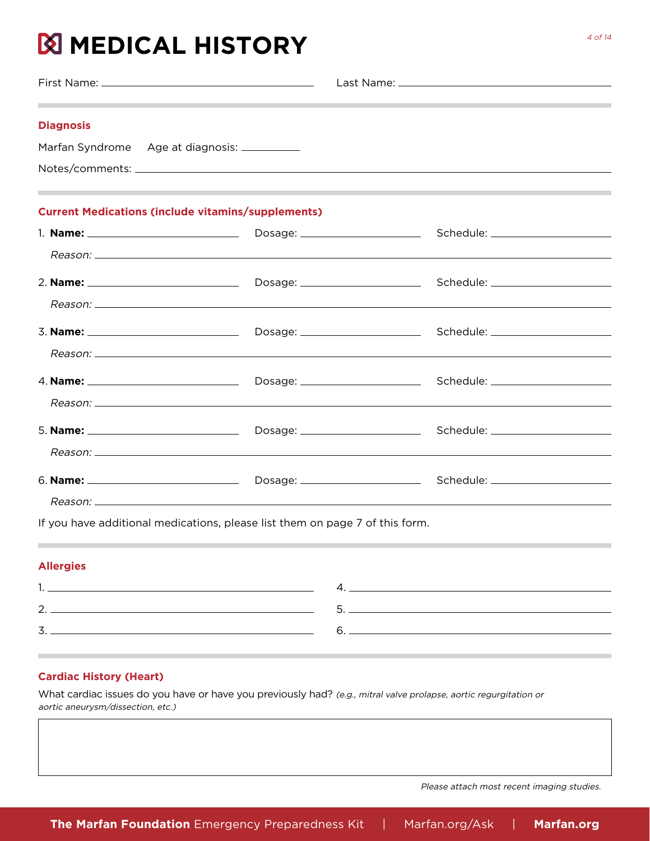## **MEDICAL HISTORY**

| <b>Diagnosis</b><br>Marfan Syndrome Age at diagnosis: __________ |  |
|------------------------------------------------------------------|--|
| <b>Current Medications (include vitamins/supplements)</b>        |  |
|                                                                  |  |
|                                                                  |  |
|                                                                  |  |
|                                                                  |  |
|                                                                  |  |
|                                                                  |  |
|                                                                  |  |
|                                                                  |  |
|                                                                  |  |
|                                                                  |  |
|                                                                  |  |
|                                                                  |  |

If you have additional medications, please list them on page 7 of this form.

#### **Allergies**

| - |  |
|---|--|
|   |  |

### **Cardiac History (Heart)**

What cardiac issues do you have or have you previously had? (e.g., mitral valve prolapse, aortic regurgitation or aortic aneurysm/dissection, etc.)

Please attach most recent imaging studies.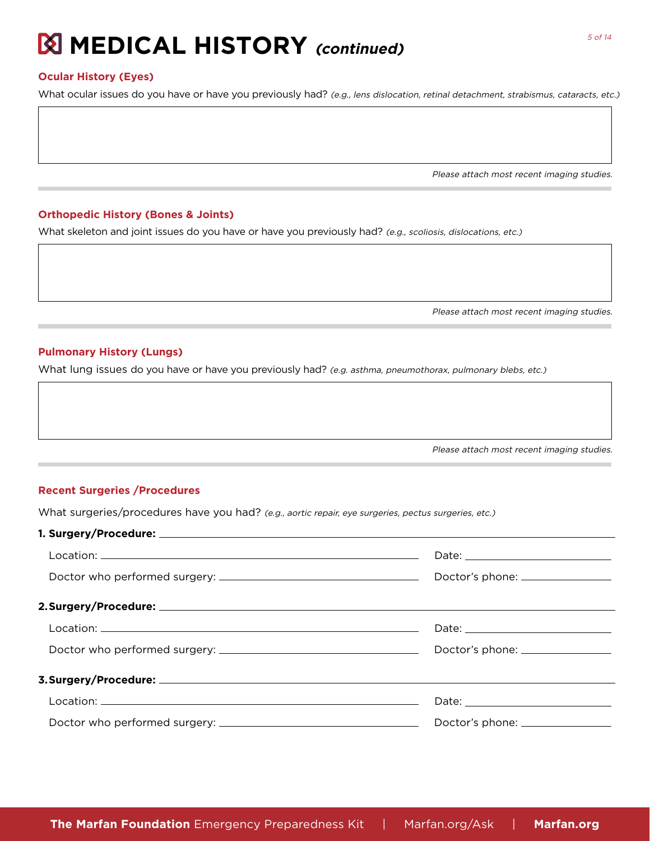### **Ocular History (Eyes)**

What ocular issues do you have or have you previously had? (e.g., lens dislocation, retinal detachment, strabismus, cataracts, etc.)

Please attach most recent imaging studies.

#### **Orthopedic History (Bones & Joints)**

What skeleton and joint issues do you have or have you previously had? (e.g., scoliosis, dislocations, etc.)

Please attach most recent imaging studies.

#### **Pulmonary History (Lungs)**

What lung issues do you have or have you previously had? (e.g. asthma, pneumothorax, pulmonary blebs, etc.)

Please attach most recent imaging studies.

#### **Recent Surgeries /Procedures**

What surgeries/procedures have you had? (e.g., aortic repair, eye surgeries, pectus surgeries, etc.)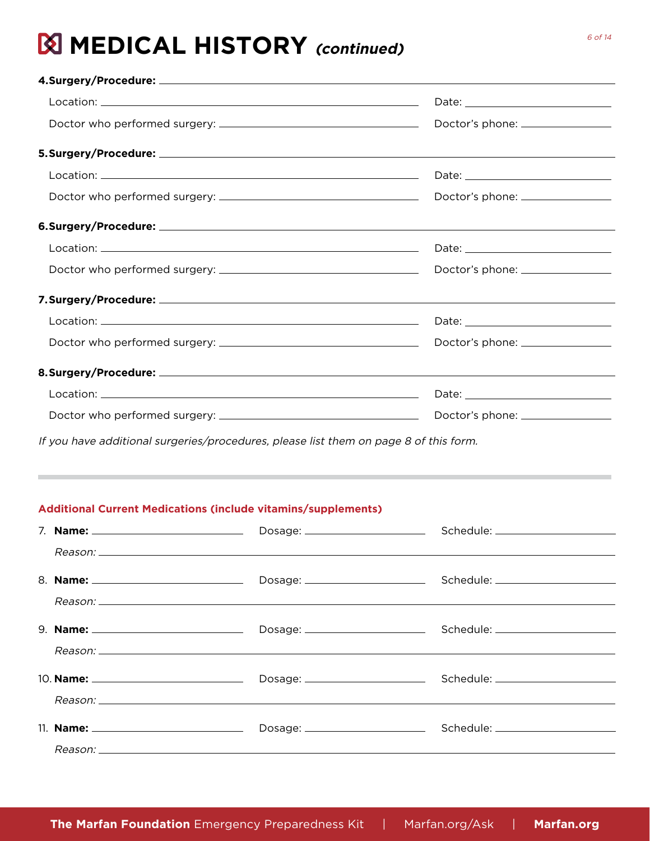| Doctor's phone: ________________ |
|----------------------------------|

If you have additional surgeries/procedures, please list them on page 8 of this form.

### **Additional Current Medications (include vitamins/supplements)**

|  | Dosage: _________________________ |  |
|--|-----------------------------------|--|
|  |                                   |  |
|  |                                   |  |
|  |                                   |  |
|  |                                   |  |
|  |                                   |  |
|  |                                   |  |
|  |                                   |  |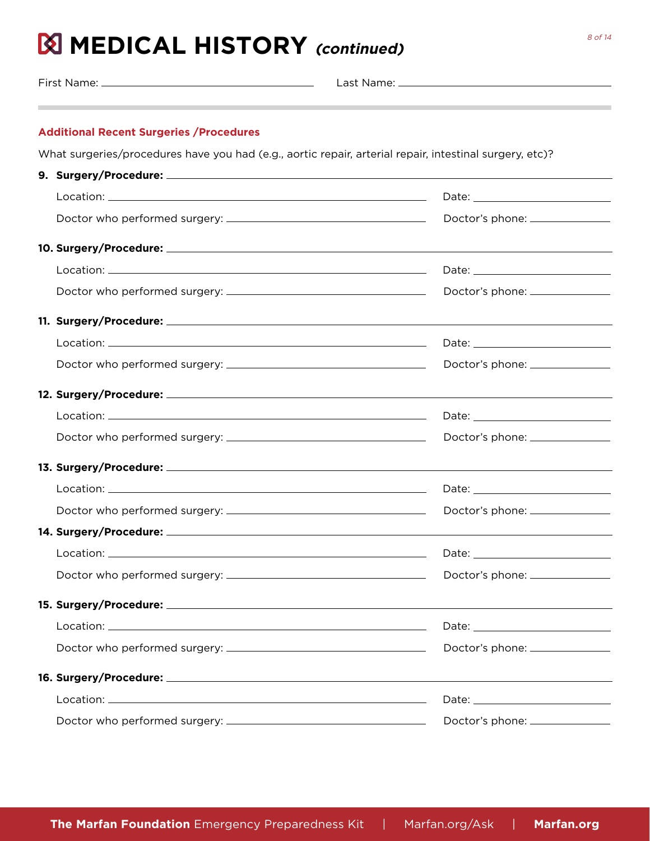First Name: Last Name:

### **Additional Recent Surgeries /Procedures**

What surgeries/procedures have you had (e.g., aortic repair, arterial repair, intestinal surgery, etc)?

| Doctor's phone: ________________                                                                                                                                                                                                     |  |
|--------------------------------------------------------------------------------------------------------------------------------------------------------------------------------------------------------------------------------------|--|
|                                                                                                                                                                                                                                      |  |
|                                                                                                                                                                                                                                      |  |
| Doctor's phone: ________________                                                                                                                                                                                                     |  |
|                                                                                                                                                                                                                                      |  |
|                                                                                                                                                                                                                                      |  |
| Doctor's phone: _______________                                                                                                                                                                                                      |  |
|                                                                                                                                                                                                                                      |  |
|                                                                                                                                                                                                                                      |  |
| Doctor's phone: _______________                                                                                                                                                                                                      |  |
|                                                                                                                                                                                                                                      |  |
|                                                                                                                                                                                                                                      |  |
|                                                                                                                                                                                                                                      |  |
| 15. Surgery/Procedure: <u>2008 and 2008 and 2008 and 2008 and 2008 and 2008 and 2008 and 2008 and 2008 and 2008 and 2008 and 2008 and 2008 and 2008 and 2008 and 2008 and 2008 and 2008 and 2008 and 2008 and 2008 and 2008 and </u> |  |
|                                                                                                                                                                                                                                      |  |
|                                                                                                                                                                                                                                      |  |
|                                                                                                                                                                                                                                      |  |
|                                                                                                                                                                                                                                      |  |
| Doctor's phone: ________________                                                                                                                                                                                                     |  |
|                                                                                                                                                                                                                                      |  |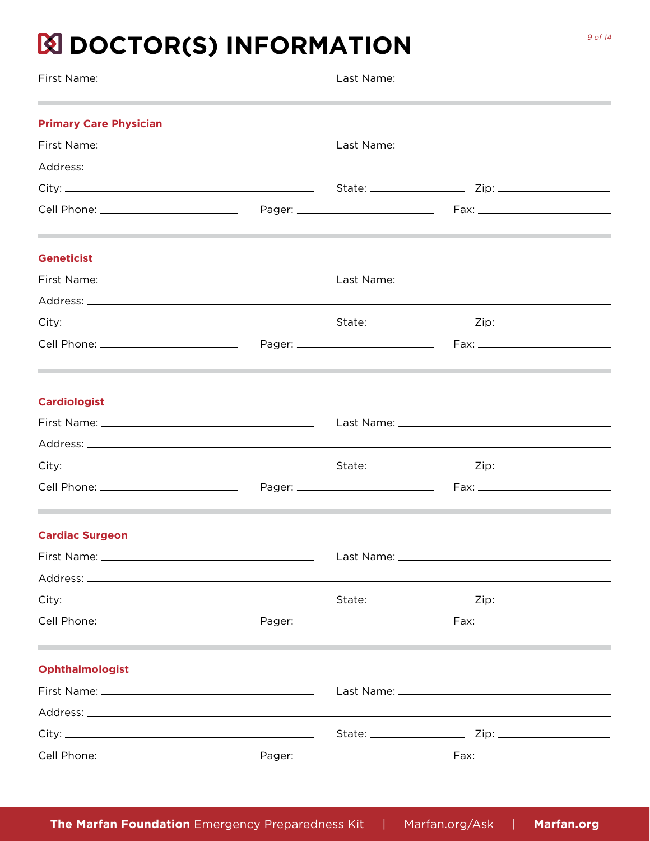## **N** DOCTOR(S) INFORMATION

| <b>Primary Care Physician</b> |  |  |
|-------------------------------|--|--|
|                               |  |  |
|                               |  |  |
|                               |  |  |
|                               |  |  |
| <b>Geneticist</b>             |  |  |
|                               |  |  |
|                               |  |  |
|                               |  |  |
|                               |  |  |
| <b>Cardiologist</b>           |  |  |
|                               |  |  |
|                               |  |  |
|                               |  |  |
|                               |  |  |
| <b>Cardiac Surgeon</b>        |  |  |
|                               |  |  |
|                               |  |  |
|                               |  |  |
|                               |  |  |
| <b>Ophthalmologist</b>        |  |  |
|                               |  |  |
|                               |  |  |
|                               |  |  |
|                               |  |  |

9 of 14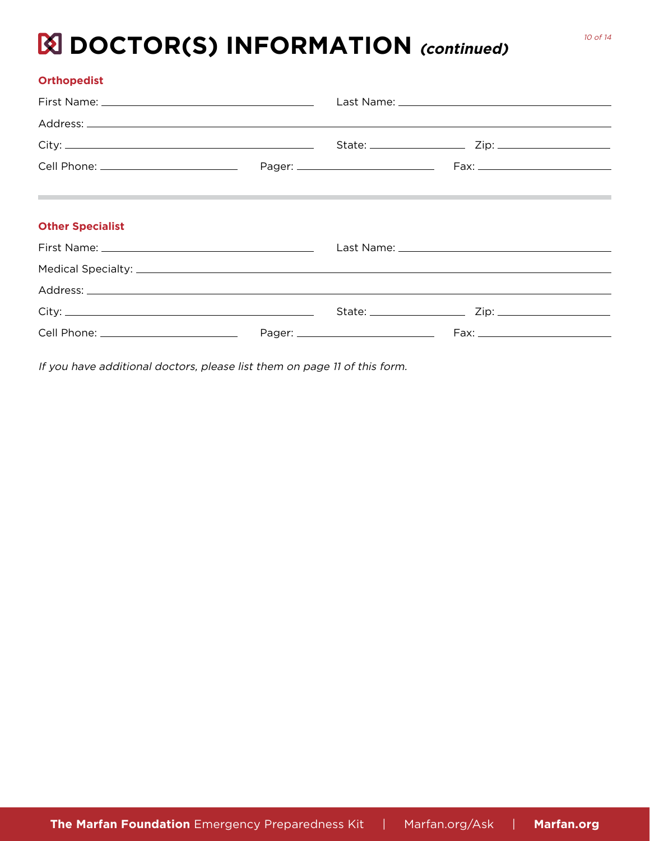## **EX DOCTOR(S) INFORMATION** (continued)

If you have additional doctors, please list them on page 11 of this form.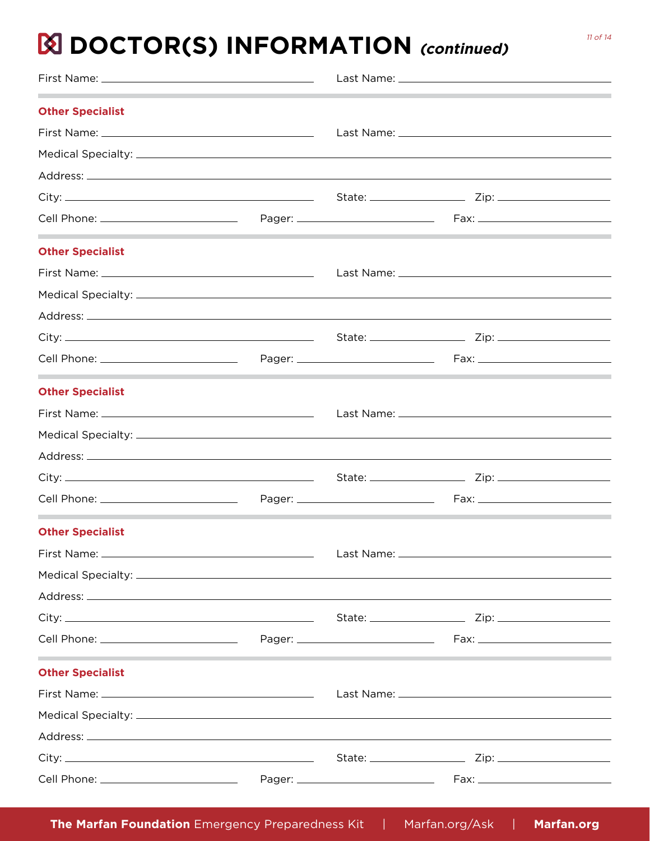### **EX DOCTOR(S) INFORMATION** (continued)

| <b>Other Specialist</b>                                      |  |  |  |
|--------------------------------------------------------------|--|--|--|
|                                                              |  |  |  |
|                                                              |  |  |  |
|                                                              |  |  |  |
|                                                              |  |  |  |
|                                                              |  |  |  |
| the control of the control of the<br><b>Other Specialist</b> |  |  |  |
|                                                              |  |  |  |
|                                                              |  |  |  |
|                                                              |  |  |  |
|                                                              |  |  |  |
|                                                              |  |  |  |
| <b>Other Specialist</b>                                      |  |  |  |
|                                                              |  |  |  |
|                                                              |  |  |  |
|                                                              |  |  |  |
|                                                              |  |  |  |
|                                                              |  |  |  |
| <b>Other Specialist</b>                                      |  |  |  |
|                                                              |  |  |  |
|                                                              |  |  |  |
|                                                              |  |  |  |
|                                                              |  |  |  |
|                                                              |  |  |  |
| <b>Other Specialist</b>                                      |  |  |  |
|                                                              |  |  |  |
|                                                              |  |  |  |
|                                                              |  |  |  |
|                                                              |  |  |  |
|                                                              |  |  |  |

**The Marfan Foundation** Emergency Preparedness Kit | Marfan.org/Ask | **Marfan.org**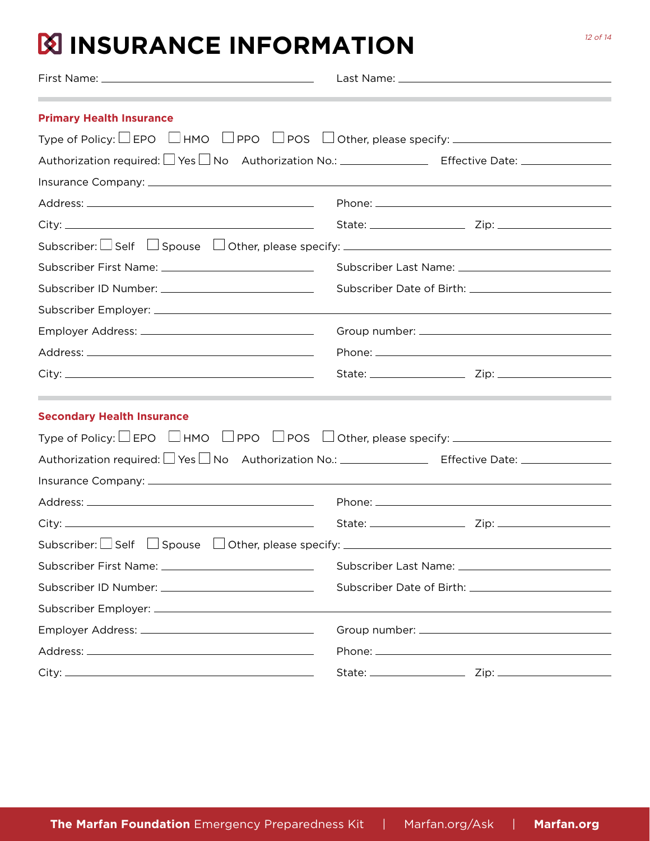### **INSURANCE INFORMATION**

| <b>Primary Health Insurance</b>                                                                                |  |  |
|----------------------------------------------------------------------------------------------------------------|--|--|
| Type of Policy: $\Box$ EPO $\Box$ HMO $\Box$ PPO $\Box$ POS $\Box$ Other, please specify: $\Box$               |  |  |
| Authorization required: □ Yes □ No Authorization No.: _ _ _ _ _ _ Effective Date: _ _ _ _ _ _ _ _ _            |  |  |
|                                                                                                                |  |  |
|                                                                                                                |  |  |
|                                                                                                                |  |  |
| Subscriber: $\Box$ Self $\Box$ Spouse $\Box$ Other, please specify: $\Box$                                     |  |  |
|                                                                                                                |  |  |
|                                                                                                                |  |  |
|                                                                                                                |  |  |
|                                                                                                                |  |  |
|                                                                                                                |  |  |
|                                                                                                                |  |  |
| <b>Secondary Health Insurance</b>                                                                              |  |  |
| Type of Policy: $\Box$ EPO $\Box$ HMO $\Box$ PPO $\Box$ POS $\Box$ Other, please specify: $\Box$               |  |  |
| Authorization required: LJ Yes LJ No Authorization No.: ________________________ Effective Date: _____________ |  |  |
|                                                                                                                |  |  |
|                                                                                                                |  |  |
|                                                                                                                |  |  |
| Subscriber: $\Box$ Self $\Box$ Spouse $\Box$ Other, please specify: $\Box$                                     |  |  |
|                                                                                                                |  |  |
| Subscriber ID Number: ____________________________                                                             |  |  |
|                                                                                                                |  |  |
|                                                                                                                |  |  |
|                                                                                                                |  |  |
|                                                                                                                |  |  |

12 of 14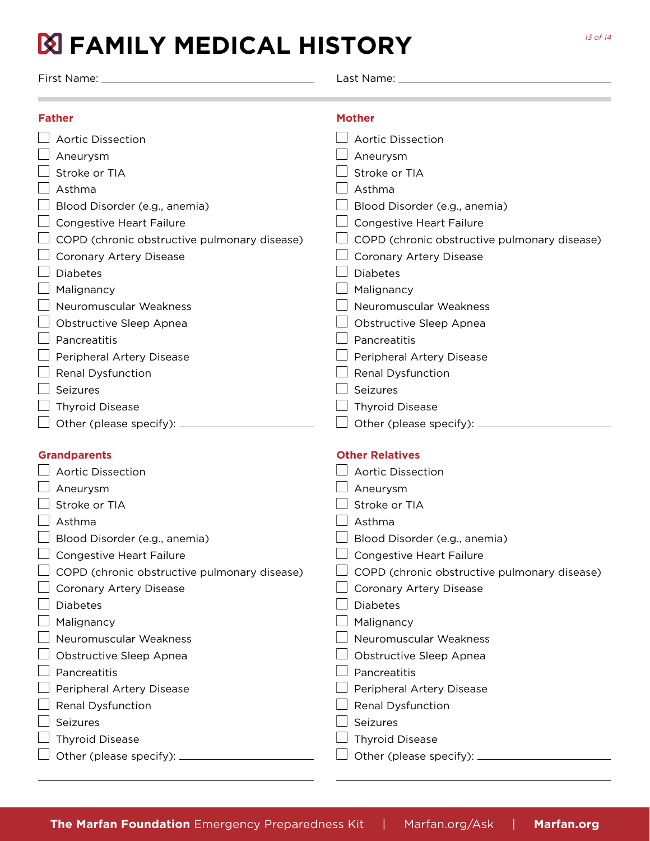## **FAMILY MEDICAL HISTORY**

First Name: Last Name:

| <b>Father</b>                                     | <b>Mother</b>                                                           |
|---------------------------------------------------|-------------------------------------------------------------------------|
| <b>Aortic Dissection</b>                          | <b>Aortic Dissection</b>                                                |
| Aneurysm                                          | Aneurysm                                                                |
| Stroke or TIA                                     | Stroke or TIA                                                           |
| Asthma                                            | Asthma                                                                  |
| Blood Disorder (e.g., anemia)                     | Blood Disorder (e.g., anemia)                                           |
| <b>Congestive Heart Failure</b>                   | <b>Congestive Heart Failure</b>                                         |
| COPD (chronic obstructive pulmonary disease)      | COPD (chronic obstructive pulmonary disease)                            |
| Coronary Artery Disease                           | Coronary Artery Disease                                                 |
| <b>Diabetes</b>                                   | <b>Diabetes</b>                                                         |
| Malignancy                                        | Malignancy                                                              |
| Neuromuscular Weakness                            | Neuromuscular Weakness                                                  |
| Obstructive Sleep Apnea                           | Obstructive Sleep Apnea                                                 |
| Pancreatitis                                      | Pancreatitis                                                            |
| Peripheral Artery Disease                         | Peripheral Artery Disease                                               |
| Renal Dysfunction                                 | <b>Renal Dysfunction</b>                                                |
| Seizures                                          | Seizures                                                                |
| <b>Thyroid Disease</b>                            | <b>Thyroid Disease</b>                                                  |
| Other (please specify): _                         | Other (please specify): $\equiv$                                        |
|                                                   |                                                                         |
| <b>Grandparents</b><br><b>Aortic Dissection</b>   | <b>Other Relatives</b><br><b>Aortic Dissection</b>                      |
|                                                   |                                                                         |
| Aneurysm<br>Stroke or TIA                         | Aneurysm<br>Stroke or TIA                                               |
| Asthma                                            | Asthma                                                                  |
|                                                   |                                                                         |
| Blood Disorder (e.g., anemia)                     | Blood Disorder (e.g., anemia)                                           |
| Congestive Heart Failure                          | Congestive Heart Failure                                                |
| COPD (chronic obstructive pulmonary disease)      | COPD (chronic obstructive pulmonary disease)<br>Coronary Artery Disease |
| <b>Coronary Artery Disease</b><br><b>Diabetes</b> | <b>Diabetes</b>                                                         |
| Malignancy                                        | Malignancy                                                              |
| Neuromuscular Weakness                            | Neuromuscular Weakness                                                  |
| Obstructive Sleep Apnea                           | Obstructive Sleep Apnea                                                 |
| Pancreatitis                                      | Pancreatitis                                                            |
| Peripheral Artery Disease                         |                                                                         |
|                                                   |                                                                         |
|                                                   | Peripheral Artery Disease                                               |
| Renal Dysfunction                                 | Renal Dysfunction                                                       |
| Seizures                                          | Seizures                                                                |
|                                                   |                                                                         |
| <b>Thyroid Disease</b>                            | <b>Thyroid Disease</b><br>Other (please specify): __________            |

13 of 14